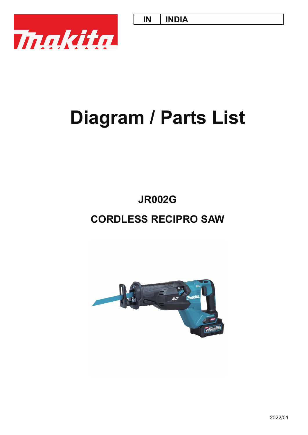**IN INDIA**



# **Diagram / Parts List**

# **CORDLESS RECIPRO SAW JR002G**

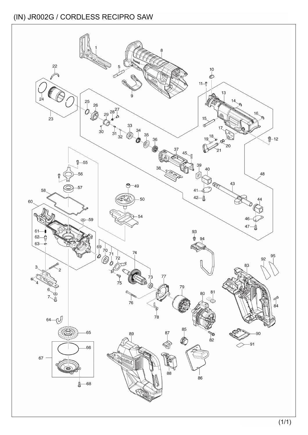#### (IN) JR002G / CORDLESS RECIPRO SAW

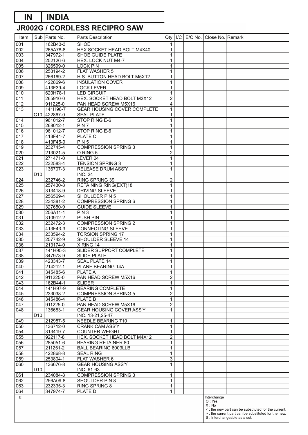### **IN INDIA**

## **JR002G / CORDLESS RECIPRO SAW**

| Item             |                 | Sub   Parts No.           | Parts Description                                         | Qty                            | I/C | E/C No.   Close No.   Remark |                                                     |
|------------------|-----------------|---------------------------|-----------------------------------------------------------|--------------------------------|-----|------------------------------|-----------------------------------------------------|
| 001              |                 | 162B43-3                  | <b>SHOE</b>                                               | $\mathbf 1$                    |     |                              |                                                     |
| 002              |                 | 265A78-8                  | HEX SOCKET HEAD BOLT M4X40                                | $\mathbf 1$                    |     |                              |                                                     |
| 003              |                 | 347972-1                  | SHOE GUIDE PLATE                                          | $\mathbf 1$                    |     |                              |                                                     |
| 004              |                 | 252126-6                  | <b>HEX. LOCK NUT M4-7</b>                                 | $\overline{1}$                 |     |                              |                                                     |
| 005              |                 | 326599-0                  | <b>LOCK PIN</b>                                           | $\mathbf{1}$                   |     |                              |                                                     |
| 006              |                 | 253194-2                  | <b>FLAT WASHER 5</b>                                      | $\mathbf 1$                    |     |                              |                                                     |
| $\overline{007}$ |                 | 266169-2                  | H.S. BUTTON HEAD BOLT M5X12                               | $\mathbf 1$                    |     |                              |                                                     |
| 008              |                 | 422869-6                  | <b>INSULATION COVER</b>                                   | $\mathbf 1$                    |     |                              |                                                     |
| 009              |                 | 413F39-4                  | <b>LOCK LEVER</b>                                         | $\mathbf{1}$                   |     |                              |                                                     |
| 010              |                 | 620H78-1                  | <b>LED CIRCUIT</b><br>HEX. SOCKET HEAD BOLT M3X12         | $\mathbf 1$<br>$\overline{2}$  |     |                              |                                                     |
| $\overline{011}$ |                 | 265910-0<br>911225-0      | PAN HEAD SCREW M5X16                                      | $\overline{\mathbf{4}}$        |     |                              |                                                     |
| 012<br>013       |                 | 141H98-7                  | GEAR HOUSING COVER COMPLETE                               |                                |     |                              |                                                     |
|                  |                 | $\overline{C10}$ 422867-0 | <b>SEAL PLATE</b>                                         | $\mathbf{1}$<br>$\mathbf 1$    |     |                              |                                                     |
| 014              |                 | 961012-7                  | STOP RING E-6                                             | $\mathbf 1$                    |     |                              |                                                     |
| 015              |                 | 268012-1                  | PIN <sub>7</sub>                                          | $\mathbf 1$                    |     |                              |                                                     |
| 016              |                 | 961012-7                  | STOP RING E-6                                             | $\mathbf{1}$                   |     |                              |                                                     |
| 017              |                 | 413F41-7                  | PLATE C                                                   | $\mathbf 1$                    |     |                              |                                                     |
| 018              |                 | 413F45-9                  | PIN 5                                                     | $\mathbf 1$                    |     |                              |                                                     |
| 019              |                 | 232745-4                  | <b>COMPRESSION SPRING 3</b>                               | $\mathbf 1$                    |     |                              |                                                     |
| 020              |                 | 213021-5                  | O RING <sub>5</sub>                                       | $\overline{2}$                 |     |                              |                                                     |
| 021              |                 | 271471-0                  | LEVER 24                                                  | $\mathbf 1$                    |     |                              |                                                     |
| $\overline{022}$ |                 | 232583-4                  | <b>TENSION SPRING 3</b>                                   | $\mathbf 1$                    |     |                              |                                                     |
| 023              |                 | 136707-3                  | <b>RELEASE DRUM ASS'Y</b>                                 | $\mathbf{1}$                   |     |                              |                                                     |
|                  | D <sub>10</sub> |                           | <b>INC. 24</b>                                            |                                |     |                              |                                                     |
| 024              |                 | 232746-2                  | RING SPRING 39                                            | $\overline{c}$                 |     |                              |                                                     |
| 025              |                 | 257430-8                  | <b>RETAINING RING(EXT)18</b>                              | $\mathbf 1$                    |     |                              |                                                     |
| 026              |                 | 313418-9                  | <b>DRIVING SLEEVE</b>                                     | $\mathbf 1$                    |     |                              |                                                     |
| $\overline{027}$ |                 | 256569-4                  | SHOULDER PIN 5                                            | $\mathbf{1}$                   |     |                              |                                                     |
| 028              |                 | 234381-2                  | <b>COMPRESSION SPRING 6</b>                               | 1                              |     |                              |                                                     |
| 029              |                 | 327650-9                  | <b>GUIDE SLEEVE</b>                                       | $\mathbf 1$                    |     |                              |                                                     |
| 030              |                 | 256A11-1                  | PIN <sub>3</sub>                                          | $\mathbf 1$                    |     |                              |                                                     |
| 031              |                 | 310912-2                  | <b>PUSH PIN</b>                                           | $\mathbf{1}$                   |     |                              |                                                     |
| 032              |                 | 232472-3                  | <b>COMPRESSION SPRING 2</b>                               | 1                              |     |                              |                                                     |
| 033              |                 | 413F43-3                  | <b>CONNECTING SLEEVE</b>                                  | $\mathbf 1$                    |     |                              |                                                     |
| 034              |                 | 233594-2                  | <b>TORSION SPRING 17</b>                                  | $\mathbf 1$                    |     |                              |                                                     |
| $\overline{035}$ |                 | 257742-9                  | SHOULDER SLEEVE 14                                        | $\mathbf{1}$                   |     |                              |                                                     |
| 036              |                 | 213174-0                  | X RING 14                                                 | 1                              |     |                              |                                                     |
| 037              |                 | 141H95-3                  | SLIDER SUPPORT COMPLETE                                   | $\mathbf 1$                    |     |                              |                                                     |
| 038              |                 | 347973-9                  | <b>SLIDE PLATE</b>                                        | $\mathbf{1}$                   |     |                              |                                                     |
| 039              |                 | 423343-7                  | <b>SEAL PLATE 14</b>                                      | $\mathbf 1$                    |     |                              |                                                     |
| 040              |                 | 214212-1                  | PLANE BEARING 14A                                         | 1                              |     |                              |                                                     |
| 041              |                 | 345485-6                  | <b>PLATE A</b>                                            | $\mathbf{1}$                   |     |                              |                                                     |
| 042              |                 | 911225-0                  | PAN HEAD SCREW M5X16                                      | $\overline{c}$                 |     |                              |                                                     |
| 043              |                 | 162B44-1                  | <b>SLIDER</b>                                             | 1                              |     |                              |                                                     |
| 044              |                 | 141H97-9                  | <b>BEARING COMPLETE</b>                                   | 1                              |     |                              |                                                     |
| 045              |                 | 233038-2                  | <b>COMPRESSION SPRING 5</b>                               | $\overline{c}$                 |     |                              |                                                     |
| 046              |                 | 345486-4                  | <b>PLATE B</b>                                            | $\mathbf 1$                    |     |                              |                                                     |
| 047              |                 | 911225-0                  | PAN HEAD SCREW M5X16                                      | $\overline{a}$                 |     |                              |                                                     |
| 048              |                 | 136683-1                  | GEAR HOUSING COVER ASS'Y                                  | 1                              |     |                              |                                                     |
|                  | D <sub>10</sub> |                           | INC. 13-21,25-47                                          |                                |     |                              |                                                     |
| 049              |                 | 212957-5                  | NEEDLE BEARING 710                                        | 1                              |     |                              |                                                     |
| 050              |                 | 136712-0                  | <b>CRANK CAM ASS'Y</b>                                    | $\mathbf 1$                    |     |                              |                                                     |
| 054              |                 | 313419-7                  | <b>COUNTER WEIGHT</b>                                     | $\mathbf{1}$                   |     |                              |                                                     |
| 055              |                 | 922117-8                  | HEX. SOCKET HEAD BOLT M4X12                               | $\overline{2}$<br>$\mathbf{1}$ |     |                              |                                                     |
| 056<br>057       |                 | 285051-6<br>211251-2      | <b>BEARING RETAINER 80</b><br><b>BALL BEARING 6003LLB</b> | $\mathbf{1}$                   |     |                              |                                                     |
| 058              |                 | 422868-8                  | <b>SEAL RING</b>                                          | $\mathbf{1}$                   |     |                              |                                                     |
| 059              |                 | 253804-1                  | FLAT WASHER 6                                             | 3                              |     |                              |                                                     |
| 060              |                 | 136676-8                  | <b>GEAR HOUSING ASS'Y</b>                                 | $\mathbf{1}$                   |     |                              |                                                     |
|                  | D <sub>10</sub> |                           | INC. 61-63                                                |                                |     |                              |                                                     |
| 061              |                 | 234084-8                  | <b>COMPRESSION SPRING 3</b>                               | 1                              |     |                              |                                                     |
| 062              |                 | 256A09-8                  | SHOULDER PIN 8                                            | $\mathbf{1}$                   |     |                              |                                                     |
| 063              |                 | 232335-3                  | RING SPRING 8                                             | $\mathbf{1}$                   |     |                              |                                                     |
| 064              |                 | 347974-7                  | PLATE D                                                   | $\mathbf{1}$                   |     |                              |                                                     |
| B:               |                 |                           |                                                           |                                |     | Interchange                  |                                                     |
|                  |                 |                           |                                                           |                                |     | O: Yes                       |                                                     |
|                  |                 |                           |                                                           |                                |     | X : No                       | <: the new part can be substituted for the current. |
|                  |                 |                           |                                                           |                                |     |                              | >: the current part can be substituted for the new. |
|                  |                 |                           |                                                           |                                |     |                              | S : Interchangeable as a set.                       |